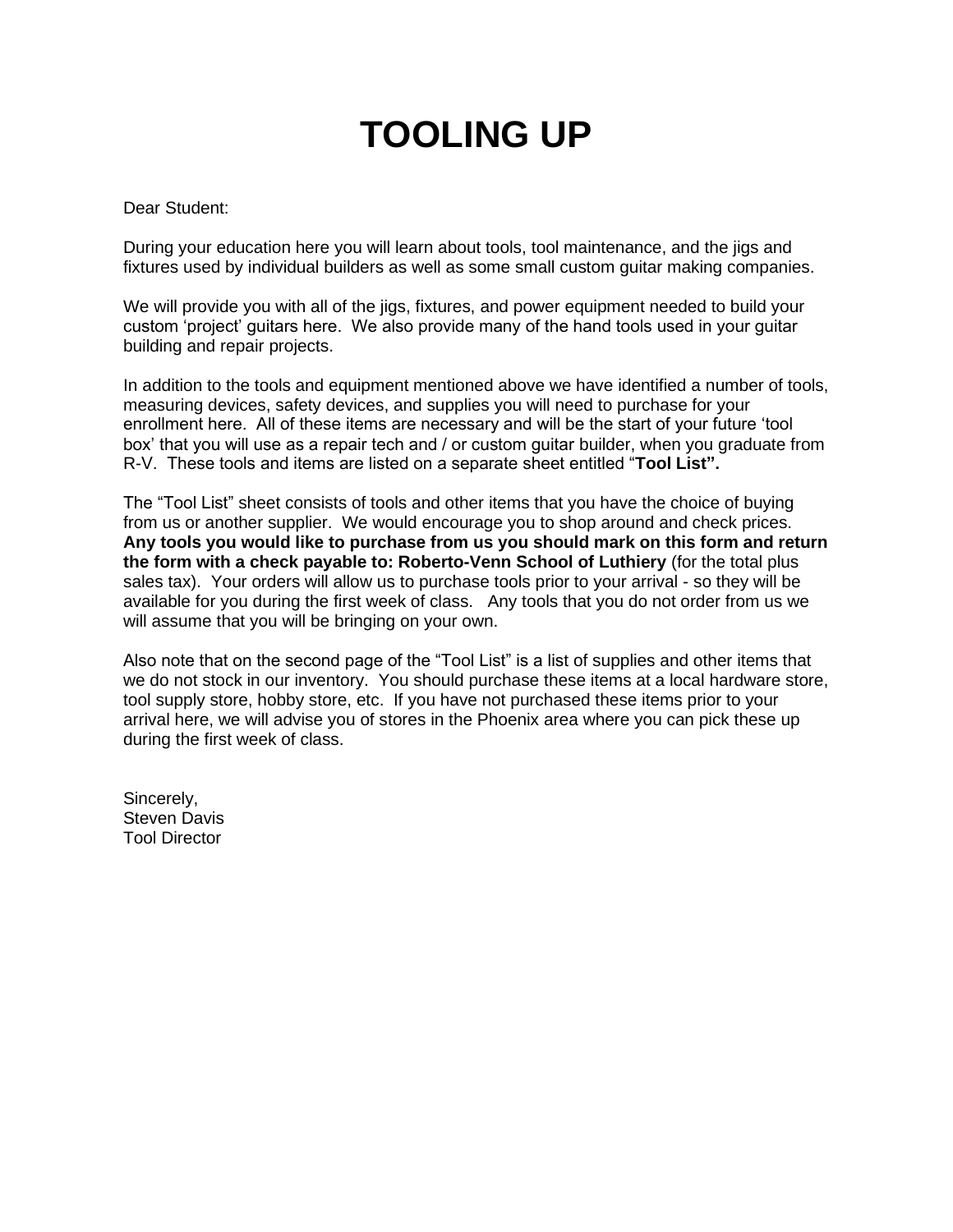# **TOOLING UP**

#### Dear Student:

During your education here you will learn about tools, tool maintenance, and the jigs and fixtures used by individual builders as well as some small custom guitar making companies.

We will provide you with all of the jigs, fixtures, and power equipment needed to build your custom 'project' guitars here. We also provide many of the hand tools used in your guitar building and repair projects.

In addition to the tools and equipment mentioned above we have identified a number of tools, measuring devices, safety devices, and supplies you will need to purchase for your enrollment here. All of these items are necessary and will be the start of your future 'tool box' that you will use as a repair tech and / or custom guitar builder, when you graduate from R-V. These tools and items are listed on a separate sheet entitled "**Tool List".**

The "Tool List" sheet consists of tools and other items that you have the choice of buying from us or another supplier. We would encourage you to shop around and check prices. **Any tools you would like to purchase from us you should mark on this form and return the form with a check payable to: Roberto-Venn School of Luthiery** (for the total plus sales tax). Your orders will allow us to purchase tools prior to your arrival - so they will be available for you during the first week of class. Any tools that you do not order from us we will assume that you will be bringing on your own.

Also note that on the second page of the "Tool List" is a list of supplies and other items that we do not stock in our inventory. You should purchase these items at a local hardware store, tool supply store, hobby store, etc. If you have not purchased these items prior to your arrival here, we will advise you of stores in the Phoenix area where you can pick these up during the first week of class.

Sincerely, Steven Davis Tool Director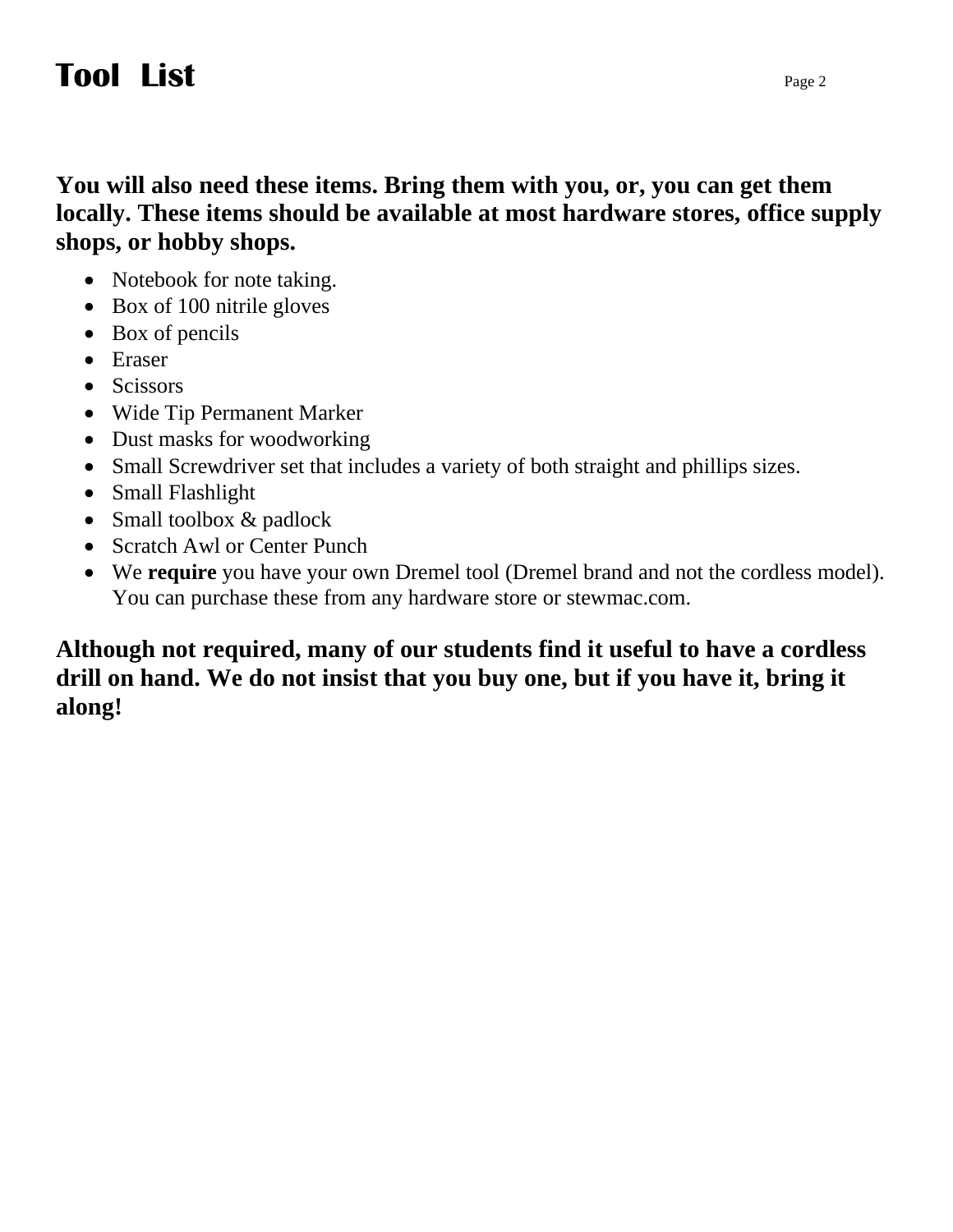## **Tool List**

**You will also need these items. Bring them with you, or, you can get them locally. These items should be available at most hardware stores, office supply shops, or hobby shops.**

- Notebook for note taking.
- Box of 100 nitrile gloves
- Box of pencils
- Eraser
- Scissors
- Wide Tip Permanent Marker
- Dust masks for woodworking
- Small Screwdriver set that includes a variety of both straight and phillips sizes.
- Small Flashlight
- Small toolbox & padlock
- Scratch Awl or Center Punch
- We **require** you have your own Dremel tool (Dremel brand and not the cordless model). You can purchase these from any hardware store or stewmac.com.

## **Although not required, many of our students find it useful to have a cordless drill on hand. We do not insist that you buy one, but if you have it, bring it along!**